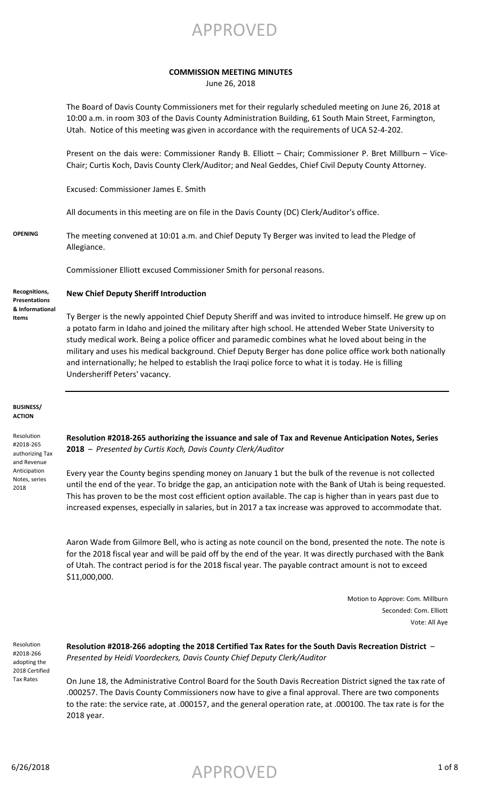APPROVED

### **COMMISSION MEETING MINUTES**

June 26, 2018

The Board of Davis County Commissioners met for their regularly scheduled meeting on June 26, 2018 at 10:00 a.m. in room 303 of the Davis County Administration Building, 61 South Main Street, Farmington, Utah. Notice of this meeting was given in accordance with the requirements of UCA 52-4-202.

Present on the dais were: Commissioner Randy B. Elliott – Chair; Commissioner P. Bret Millburn – Vice-Chair; Curtis Koch, Davis County Clerk/Auditor; and Neal Geddes, Chief Civil Deputy County Attorney.

Excused: Commissioner James E. Smith

All documents in this meeting are on file in the Davis County (DC) Clerk/Auditor's office.

**OPENING** The meeting convened at 10:01 a.m. and Chief Deputy Ty Berger was invited to lead the Pledge of Allegiance.

Commissioner Elliott excused Commissioner Smith for personal reasons.

**Recognitions, Presentations & Informational Items**

**New Chief Deputy Sheriff Introduction**

Ty Berger is the newly appointed Chief Deputy Sheriff and was invited to introduce himself. He grew up on a potato farm in Idaho and joined the military after high school. He attended Weber State University to study medical work. Being a police officer and paramedic combines what he loved about being in the military and uses his medical background. Chief Deputy Berger has done police office work both nationally and internationally; he helped to establish the Iraqi police force to what it is today. He is filling Undersheriff Peters' vacancy.

### **BUSINESS/ ACTION**

Resolution #2018-265 authorizing Tax and Revenue Anticipation Notes, series 2018

**Resolution #2018-265 authorizing the issuance and sale of Tax and Revenue Anticipation Notes, Series 2018** – *Presented by Curtis Koch, Davis County Clerk/Auditor*

Every year the County begins spending money on January 1 but the bulk of the revenue is not collected until the end of the year. To bridge the gap, an anticipation note with the Bank of Utah is being requested. This has proven to be the most cost efficient option available. The cap is higher than in years past due to increased expenses, especially in salaries, but in 2017 a tax increase was approved to accommodate that.

Aaron Wade from Gilmore Bell, who is acting as note council on the bond, presented the note. The note is for the 2018 fiscal year and will be paid off by the end of the year. It was directly purchased with the Bank of Utah. The contract period is for the 2018 fiscal year. The payable contract amount is not to exceed \$11,000,000.

> Motion to Approve: Com. Millburn Seconded: Com. Elliott Vote: All Aye

Resolution #2018-266 adopting the 2018 Certified Tax Rates

**Resolution #2018-266 adopting the 2018 Certified Tax Rates for the South Davis Recreation District** – *Presented by Heidi Voordeckers, Davis County Chief Deputy Clerk/Auditor*

On June 18, the Administrative Control Board for the South Davis Recreation District signed the tax rate of .000257. The Davis County Commissioners now have to give a final approval. There are two components to the rate: the service rate, at .000157, and the general operation rate, at .000100. The tax rate is for the 2018 year.

 $\mathsf{APPROVED}$  1 of 8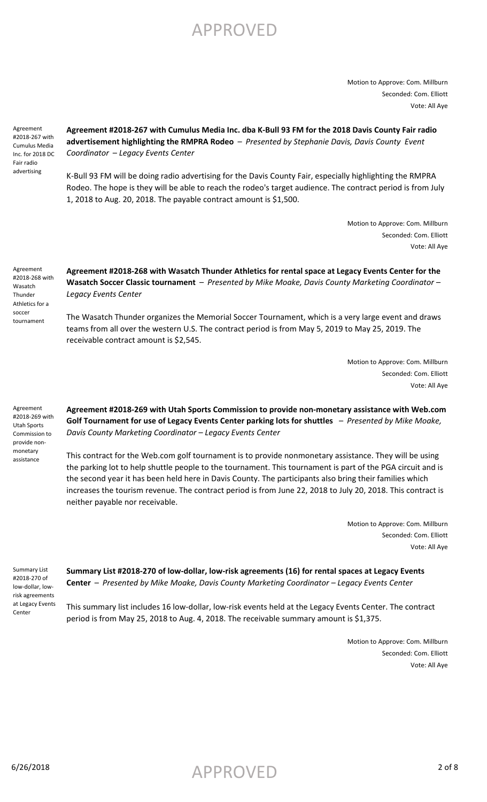Motion to Approve: Com. Millburn Seconded: Com. Elliott Vote: All Aye

Agreement #2018-267 with Cumulus Media Inc. for 2018 DC Fair radio advertising

**Agreement #2018-267 with Cumulus Media Inc. dba K-Bull 93 FM for the 2018 Davis County Fair radio advertisement highlighting the RMPRA Rodeo** – *Presented by Stephanie Davis, Davis County Event Coordinator* – *Legacy Events Center*

K-Bull 93 FM will be doing radio advertising for the Davis County Fair, especially highlighting the RMPRA Rodeo. The hope is they will be able to reach the rodeo's target audience. The contract period is from July 1, 2018 to Aug. 20, 2018. The payable contract amount is \$1,500.

> Motion to Approve: Com. Millburn Seconded: Com. Elliott Vote: All Aye

Agreement #2018-268 with Wasatch **Thunder** Athletics for a soccer tournament

**Agreement #2018-268 with Wasatch Thunder Athletics for rental space at Legacy Events Center for the Wasatch Soccer Classic tournament** – *Presented by Mike Moake, Davis County Marketing Coordinator – Legacy Events Center*

The Wasatch Thunder organizes the Memorial Soccer Tournament, which is a very large event and draws teams from all over the western U.S. The contract period is from May 5, 2019 to May 25, 2019. The receivable contract amount is \$2,545.

> Motion to Approve: Com. Millburn Seconded: Com. Elliott Vote: All Aye

Agreement #2018-269 with Utah Sports Commission to provide nonmonetary assistance

**Agreement #2018-269 with Utah Sports Commission to provide non-monetary assistance with Web.com Golf Tournament for use of Legacy Events Center parking lots for shuttles** – *Presented by Mike Moake, Davis County Marketing Coordinator – Legacy Events Center*

This contract for the Web.com golf tournament is to provide nonmonetary assistance. They will be using the parking lot to help shuttle people to the tournament. This tournament is part of the PGA circuit and is the second year it has been held here in Davis County. The participants also bring their families which increases the tourism revenue. The contract period is from June 22, 2018 to July 20, 2018. This contract is neither payable nor receivable.

> Motion to Approve: Com. Millburn Seconded: Com. Elliott Vote: All Aye

Summary List #2018-270 of low-dollar, lowrisk agreements at Legacy Events Center

**Summary List #2018-270 of low-dollar, low-risk agreements (16) for rental spaces at Legacy Events Center** – *Presented by Mike Moake, Davis County Marketing Coordinator – Legacy Events Center*

This summary list includes 16 low-dollar, low-risk events held at the Legacy Events Center. The contract period is from May 25, 2018 to Aug. 4, 2018. The receivable summary amount is \$1,375.

> Motion to Approve: Com. Millburn Seconded: Com. Elliott Vote: All Aye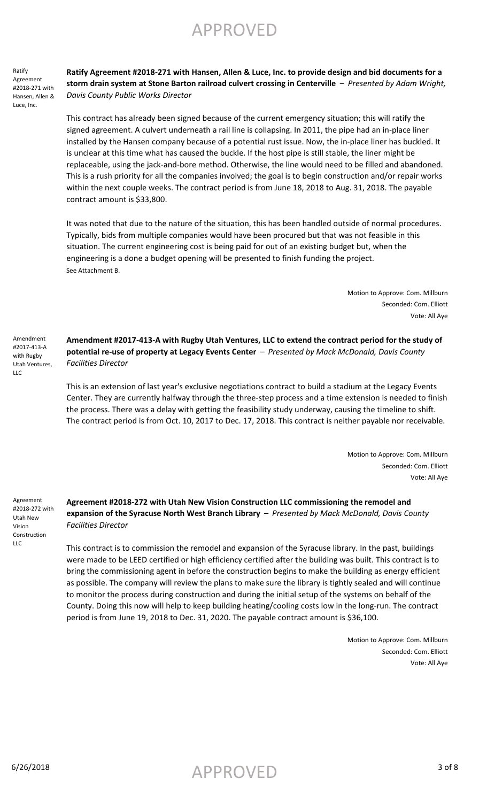APPROVED

Ratify Agreement #2018-271 with Hansen, Allen & Luce, Inc.

**Ratify Agreement #2018-271 with Hansen, Allen & Luce, Inc. to provide design and bid documents for a storm drain system at Stone Barton railroad culvert crossing in Centerville** – *Presented by Adam Wright, Davis County Public Works Director*

This contract has already been signed because of the current emergency situation; this will ratify the signed agreement. A culvert underneath a rail line is collapsing. In 2011, the pipe had an in-place liner installed by the Hansen company because of a potential rust issue. Now, the in-place liner has buckled. It is unclear at this time what has caused the buckle. If the host pipe is still stable, the liner might be replaceable, using the jack-and-bore method. Otherwise, the line would need to be filled and abandoned. This is a rush priority for all the companies involved; the goal is to begin construction and/or repair works within the next couple weeks. The contract period is from June 18, 2018 to Aug. 31, 2018. The payable contract amount is \$33,800.

It was noted that due to the nature of the situation, this has been handled outside of normal procedures. Typically, bids from multiple companies would have been procured but that was not feasible in this situation. The current engineering cost is being paid for out of an existing budget but, when the engineering is a done a budget opening will be presented to finish funding the project. See Attachment B.

> Motion to Approve: Com. Millburn Seconded: Com. Elliott Vote: All Aye

Amendment #2017-413-A with Rugby Utah Ventures, LLC

**Amendment #2017-413-A with Rugby Utah Ventures, LLC to extend the contract period for the study of potential re-use of property at Legacy Events Center** – *Presented by Mack McDonald, Davis County Facilities Director*

This is an extension of last year's exclusive negotiations contract to build a stadium at the Legacy Events Center. They are currently halfway through the three-step process and a time extension is needed to finish the process. There was a delay with getting the feasibility study underway, causing the timeline to shift. The contract period is from Oct. 10, 2017 to Dec. 17, 2018. This contract is neither payable nor receivable.

> Motion to Approve: Com. Millburn Seconded: Com. Elliott Vote: All Aye

Agreement #2018-272 with Utah New Vision Construction  $\overline{L}$ 

**Agreement #2018-272 with Utah New Vision Construction LLC commissioning the remodel and expansion of the Syracuse North West Branch Library** – *Presented by Mack McDonald, Davis County Facilities Director*

This contract is to commission the remodel and expansion of the Syracuse library. In the past, buildings were made to be LEED certified or high efficiency certified after the building was built. This contract is to bring the commissioning agent in before the construction begins to make the building as energy efficient as possible. The company will review the plans to make sure the library is tightly sealed and will continue to monitor the process during construction and during the initial setup of the systems on behalf of the County. Doing this now will help to keep building heating/cooling costs low in the long-run. The contract period is from June 19, 2018 to Dec. 31, 2020. The payable contract amount is \$36,100.

> Motion to Approve: Com. Millburn Seconded: Com. Elliott Vote: All Aye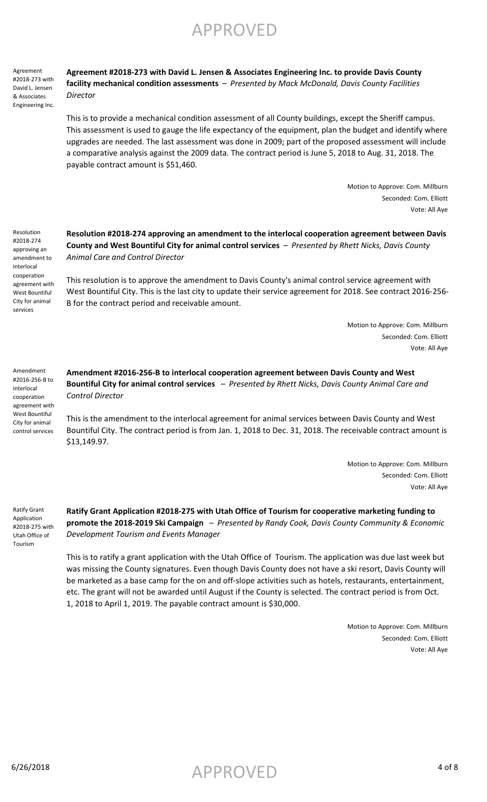Agreement #2018-273 with David L. Jensen & Associates Engineering Inc. **Agreement #2018-273 with David L. Jensen & Associates Engineering Inc. to provide Davis County facility mechanical condition assessments** – *Presented by Mack McDonald, Davis County Facilities Director*

This is to provide a mechanical condition assessment of all County buildings, except the Sheriff campus. This assessment is used to gauge the life expectancy of the equipment, plan the budget and identify where upgrades are needed. The last assessment was done in 2009; part of the proposed assessment will include a comparative analysis against the 2009 data. The contract period is June 5, 2018 to Aug. 31, 2018. The payable contract amount is \$51,460.

> Motion to Approve: Com. Millburn Seconded: Com. Elliott Vote: All Aye

Resolution #2018-274 approving an amendment to interlocal cooperation agreement with West Bountiful City for animal services

**Resolution #2018-274 approving an amendment to the interlocal cooperation agreement between Davis County and West Bountiful City for animal control services** – *Presented by Rhett Nicks, Davis County Animal Care and Control Director*

This resolution is to approve the amendment to Davis County's animal control service agreement with West Bountiful City. This is the last city to update their service agreement for 2018. See contract 2016-256- B for the contract period and receivable amount.

> Motion to Approve: Com. Millburn Seconded: Com. Elliott Vote: All Aye

Amendment #2016-256-B to interlocal cooperation agreement with West Bountiful City for animal control services

**Amendment #2016-256-B to interlocal cooperation agreement between Davis County and West Bountiful City for animal control services** – *Presented by Rhett Nicks, Davis County Animal Care and Control Director*

This is the amendment to the interlocal agreement for animal services between Davis County and West Bountiful City. The contract period is from Jan. 1, 2018 to Dec. 31, 2018. The receivable contract amount is \$13,149.97.

> Motion to Approve: Com. Millburn Seconded: Com. Elliott Vote: All Aye

Ratify Grant Application #2018-275 with Utah Office of Tourism

**Ratify Grant Application #2018-275 with Utah Office of Tourism for cooperative marketing funding to promote the 2018-2019 Ski Campaign** – *Presented by Randy Cook, Davis County Community & Economic Development Tourism and Events Manager*

This is to ratify a grant application with the Utah Office of Tourism. The application was due last week but was missing the County signatures. Even though Davis County does not have a ski resort, Davis County will be marketed as a base camp for the on and off-slope activities such as hotels, restaurants, entertainment, etc. The grant will not be awarded until August if the County is selected. The contract period is from Oct. 1, 2018 to April 1, 2019. The payable contract amount is \$30,000.

> Motion to Approve: Com. Millburn Seconded: Com. Elliott Vote: All Aye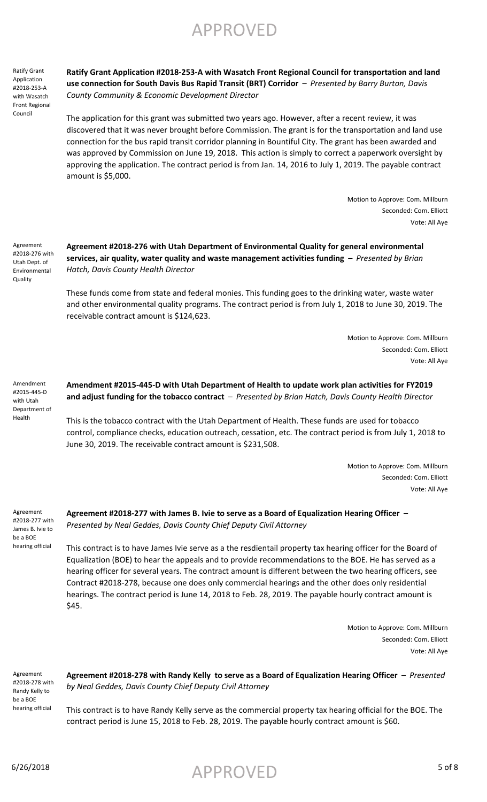Ratify Grant Application #2018-253-A with Wasatch Front Regional Council

**Ratify Grant Application #2018-253-A with Wasatch Front Regional Council for transportation and land use connection for South Davis Bus Rapid Transit (BRT) Corridor** – *Presented by Barry Burton, Davis County Community & Economic Development Director*

The application for this grant was submitted two years ago. However, after a recent review, it was discovered that it was never brought before Commission. The grant is for the transportation and land use connection for the bus rapid transit corridor planning in Bountiful City. The grant has been awarded and was approved by Commission on June 19, 2018. This action is simply to correct a paperwork oversight by approving the application. The contract period is from Jan. 14, 2016 to July 1, 2019. The payable contract amount is \$5,000.

> Motion to Approve: Com. Millburn Seconded: Com. Elliott Vote: All Aye

Agreement #2018-276 with Utah Dept. of Environmental **Quality** 

**Agreement #2018-276 with Utah Department of Environmental Quality for general environmental services, air quality, water quality and waste management activities funding** – *Presented by Brian Hatch, Davis County Health Director*

These funds come from state and federal monies. This funding goes to the drinking water, waste water and other environmental quality programs. The contract period is from July 1, 2018 to June 30, 2019. The receivable contract amount is \$124,623.

> Motion to Approve: Com. Millburn Seconded: Com. Elliott Vote: All Aye

Amendment #2015-445-D with Utah Department of Health

**Amendment #2015-445-D with Utah Department of Health to update work plan activities for FY2019 and adjust funding for the tobacco contract** – *Presented by Brian Hatch, Davis County Health Director*

This is the tobacco contract with the Utah Department of Health. These funds are used for tobacco control, compliance checks, education outreach, cessation, etc. The contract period is from July 1, 2018 to June 30, 2019. The receivable contract amount is \$231,508.

> Motion to Approve: Com. Millburn Seconded: Com. Elliott Vote: All Aye

Agreement #2018-277 with James B. Ivie to be a BOE hearing official

**Agreement #2018-277 with James B. Ivie to serve as a Board of Equalization Hearing Officer** – *Presented by Neal Geddes, Davis County Chief Deputy Civil Attorney*

This contract is to have James Ivie serve as a the resdientail property tax hearing officer for the Board of Equalization (BOE) to hear the appeals and to provide recommendations to the BOE. He has served as a hearing officer for several years. The contract amount is different between the two hearing officers, see Contract #2018-278, because one does only commercial hearings and the other does only residential hearings. The contract period is June 14, 2018 to Feb. 28, 2019. The payable hourly contract amount is \$45.

> Motion to Approve: Com. Millburn Seconded: Com. Elliott Vote: All Aye

Agreement #2018-278 with Randy Kelly to be a BOE hearing official

**Agreement #2018-278 with Randy Kelly to serve as a Board of Equalization Hearing Officer** – *Presented by Neal Geddes, Davis County Chief Deputy Civil Attorney*

This contract is to have Randy Kelly serve as the commercial property tax hearing official for the BOE. The contract period is June 15, 2018 to Feb. 28, 2019. The payable hourly contract amount is \$60.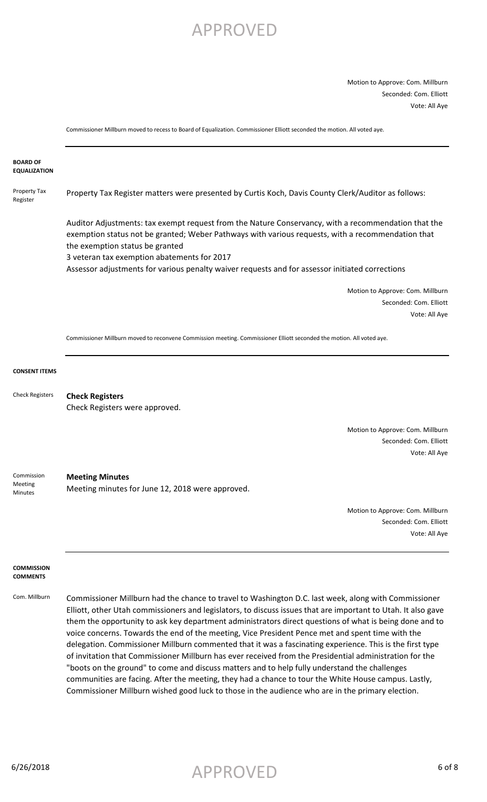Motion to Approve: Com. Millburn Seconded: Com. Elliott Vote: All Aye

Commissioner Millburn moved to recess to Board of Equalization. Commissioner Elliott seconded the motion. All voted aye.

#### **BOARD OF EQUALIZATION**

Property Tax Register Property Tax Register matters were presented by Curtis Koch, Davis County Clerk/Auditor as follows:

> Auditor Adjustments: tax exempt request from the Nature Conservancy, with a recommendation that the exemption status not be granted; Weber Pathways with various requests, with a recommendation that the exemption status be granted

3 veteran tax exemption abatements for 2017

Assessor adjustments for various penalty waiver requests and for assessor initiated corrections

Motion to Approve: Com. Millburn Seconded: Com. Elliott Vote: All Aye

Commissioner Millburn moved to reconvene Commission meeting. Commissioner Elliott seconded the motion. All voted aye.

#### **CONSENT ITEMS**

**Check Registers** Check Registers were approved. Check Registers

> Motion to Approve: Com. Millburn Seconded: Com. Elliott Vote: All Aye

**Meeting Minutes** Meeting minutes for June 12, 2018 were approved. Commission Meeting Minutes

> Motion to Approve: Com. Millburn Seconded: Com. Elliott Vote: All Aye

#### **COMMISSION COMMENTS**

Com. Millburn Commissioner Millburn had the chance to travel to Washington D.C. last week, along with Commissioner Elliott, other Utah commissioners and legislators, to discuss issues that are important to Utah. It also gave them the opportunity to ask key department administrators direct questions of what is being done and to voice concerns. Towards the end of the meeting, Vice President Pence met and spent time with the delegation. Commissioner Millburn commented that it was a fascinating experience. This is the first type of invitation that Commissioner Millburn has ever received from the Presidential administration for the "boots on the ground" to come and discuss matters and to help fully understand the challenges communities are facing. After the meeting, they had a chance to tour the White House campus. Lastly, Commissioner Millburn wished good luck to those in the audience who are in the primary election.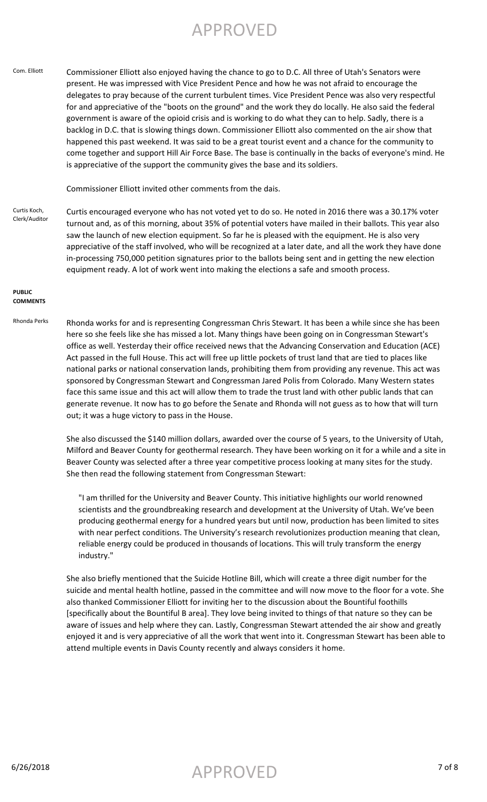Com. Elliott Commissioner Elliott also enjoyed having the chance to go to D.C. All three of Utah's Senators were present. He was impressed with Vice President Pence and how he was not afraid to encourage the delegates to pray because of the current turbulent times. Vice President Pence was also very respectful for and appreciative of the "boots on the ground" and the work they do locally. He also said the federal government is aware of the opioid crisis and is working to do what they can to help. Sadly, there is a backlog in D.C. that is slowing things down. Commissioner Elliott also commented on the air show that happened this past weekend. It was said to be a great tourist event and a chance for the community to come together and support Hill Air Force Base. The base is continually in the backs of everyone's mind. He is appreciative of the support the community gives the base and its soldiers.

Commissioner Elliott invited other comments from the dais.

Curtis Koch, Clerk/Auditor Curtis encouraged everyone who has not voted yet to do so. He noted in 2016 there was a 30.17% voter turnout and, as of this morning, about 35% of potential voters have mailed in their ballots. This year also saw the launch of new election equipment. So far he is pleased with the equipment. He is also very appreciative of the staff involved, who will be recognized at a later date, and all the work they have done in-processing 750,000 petition signatures prior to the ballots being sent and in getting the new election equipment ready. A lot of work went into making the elections a safe and smooth process.

#### **PUBLIC COMMENTS**

Rhonda Perks Rhonda works for and is representing Congressman Chris Stewart. It has been a while since she has been here so she feels like she has missed a lot. Many things have been going on in Congressman Stewart's office as well. Yesterday their office received news that the Advancing Conservation and Education (ACE) Act passed in the full House. This act will free up little pockets of trust land that are tied to places like national parks or national conservation lands, prohibiting them from providing any revenue. This act was sponsored by Congressman Stewart and Congressman Jared Polis from Colorado. Many Western states face this same issue and this act will allow them to trade the trust land with other public lands that can generate revenue. It now has to go before the Senate and Rhonda will not guess as to how that will turn out; it was a huge victory to pass in the House.

> She also discussed the \$140 million dollars, awarded over the course of 5 years, to the University of Utah, Milford and Beaver County for geothermal research. They have been working on it for a while and a site in Beaver County was selected after a three year competitive process looking at many sites for the study. She then read the following statement from Congressman Stewart:

"I am thrilled for the University and Beaver County. This initiative highlights our world renowned scientists and the groundbreaking research and development at the University of Utah. We've been producing geothermal energy for a hundred years but until now, production has been limited to sites with near perfect conditions. The University's research revolutionizes production meaning that clean, reliable energy could be produced in thousands of locations. This will truly transform the energy industry."

She also briefly mentioned that the Suicide Hotline Bill, which will create a three digit number for the suicide and mental health hotline, passed in the committee and will now move to the floor for a vote. She also thanked Commissioner Elliott for inviting her to the discussion about the Bountiful foothills [specifically about the Bountiful B area]. They love being invited to things of that nature so they can be aware of issues and help where they can. Lastly, Congressman Stewart attended the air show and greatly enjoyed it and is very appreciative of all the work that went into it. Congressman Stewart has been able to attend multiple events in Davis County recently and always considers it home.